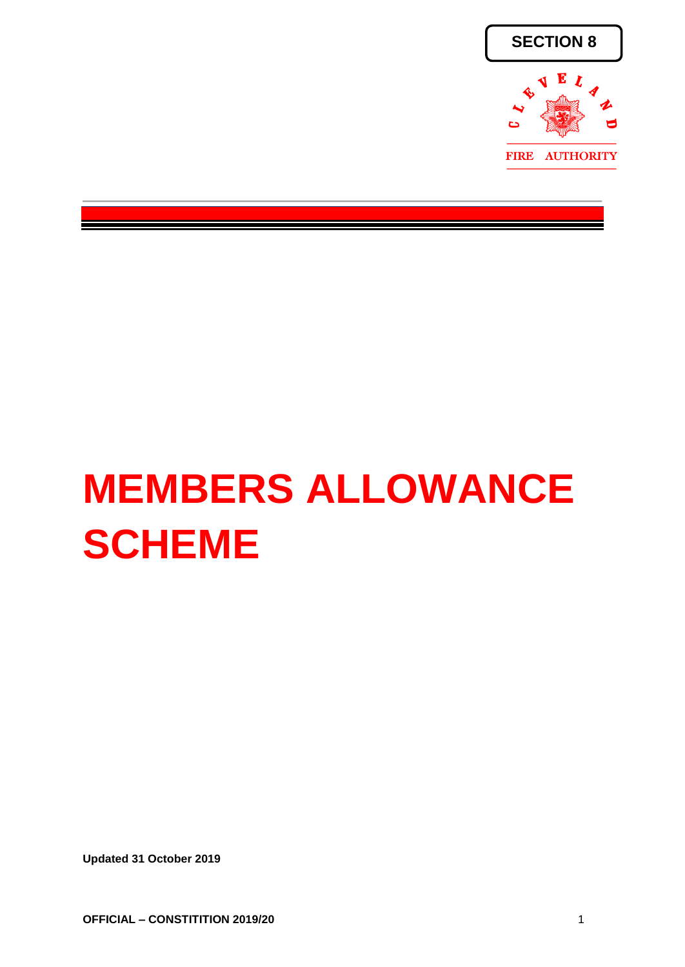

# **MEMBERS ALLOWANCE SCHEME**

**Updated 31 October 2019**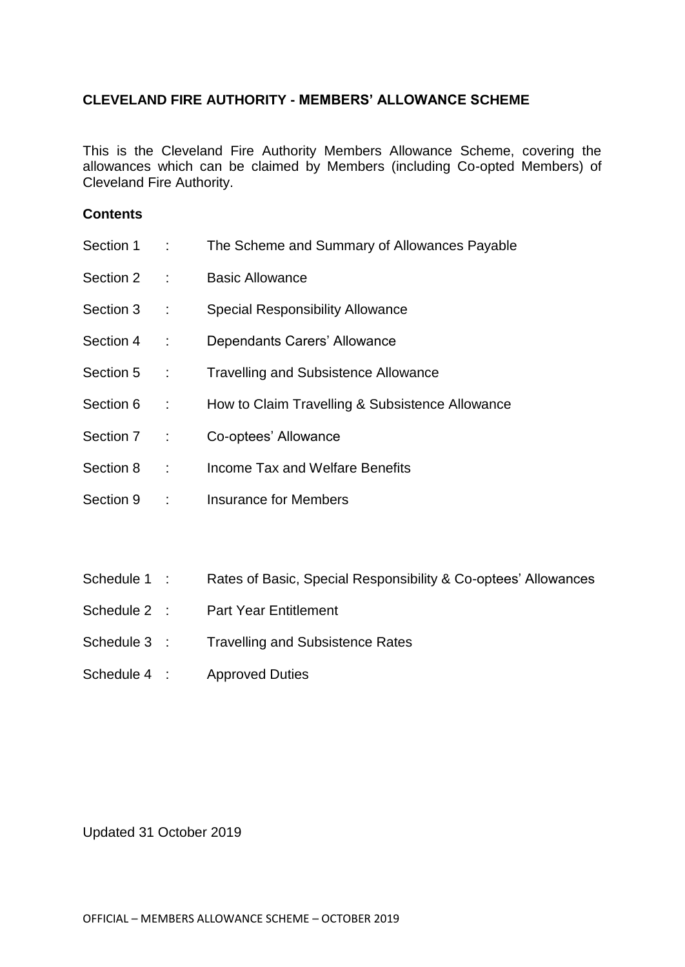### **CLEVELAND FIRE AUTHORITY - MEMBERS' ALLOWANCE SCHEME**

This is the Cleveland Fire Authority Members Allowance Scheme, covering the allowances which can be claimed by Members (including Co-opted Members) of Cleveland Fire Authority.

#### **Contents**

| Section 1 :  | The Scheme and Summary of Allowances Payable                   |
|--------------|----------------------------------------------------------------|
| Section 2 :  | <b>Basic Allowance</b>                                         |
| Section 3 :  | <b>Special Responsibility Allowance</b>                        |
| Section 4 :  | Dependants Carers' Allowance                                   |
| Section 5 :  | <b>Travelling and Subsistence Allowance</b>                    |
| Section 6 :  | How to Claim Travelling & Subsistence Allowance                |
| Section 7 :  | Co-optees' Allowance                                           |
| Section 8 :  | Income Tax and Welfare Benefits                                |
| Section 9 :  | <b>Insurance for Members</b>                                   |
|              |                                                                |
| Schedule 1 : | Rates of Basic, Special Responsibility & Co-optees' Allowances |
| Schedule 2 : | <b>Part Year Entitlement</b>                                   |
| Schedule 3 : | <b>Travelling and Subsistence Rates</b>                        |
|              |                                                                |

Schedule 4 : Approved Duties

Updated 31 October 2019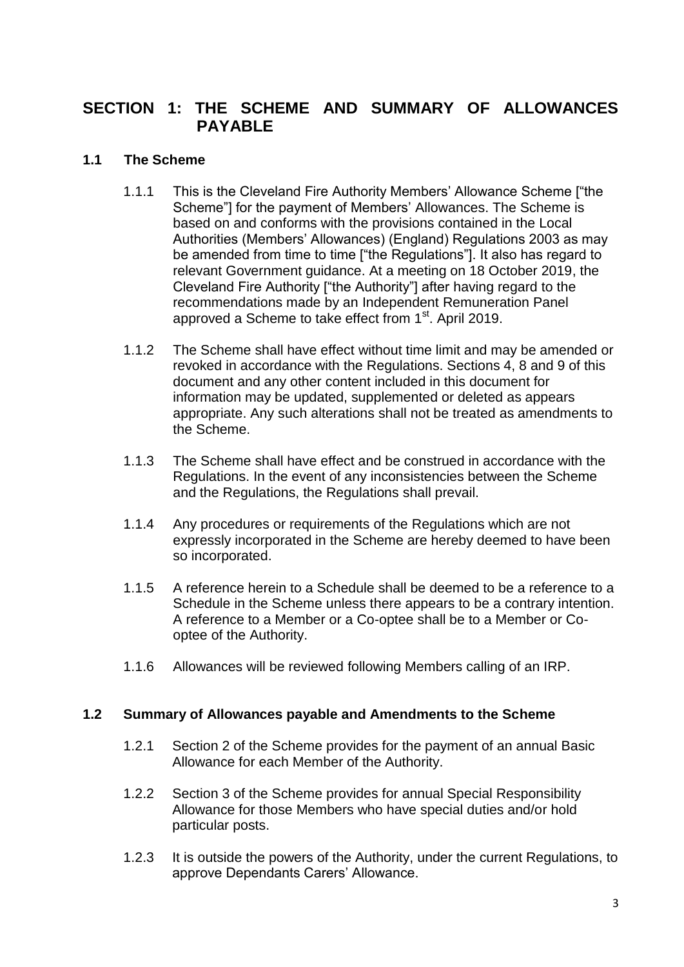# **SECTION 1: THE SCHEME AND SUMMARY OF ALLOWANCES PAYABLE**

## **1.1 The Scheme**

- 1.1.1 This is the Cleveland Fire Authority Members' Allowance Scheme ["the Scheme"] for the payment of Members' Allowances. The Scheme is based on and conforms with the provisions contained in the Local Authorities (Members' Allowances) (England) Regulations 2003 as may be amended from time to time ["the Regulations"]. It also has regard to relevant Government guidance. At a meeting on 18 October 2019, the Cleveland Fire Authority ["the Authority"] after having regard to the recommendations made by an Independent Remuneration Panel approved a Scheme to take effect from 1<sup>st</sup>. April 2019.
- 1.1.2 The Scheme shall have effect without time limit and may be amended or revoked in accordance with the Regulations. Sections 4, 8 and 9 of this document and any other content included in this document for information may be updated, supplemented or deleted as appears appropriate. Any such alterations shall not be treated as amendments to the Scheme.
- 1.1.3 The Scheme shall have effect and be construed in accordance with the Regulations. In the event of any inconsistencies between the Scheme and the Regulations, the Regulations shall prevail.
- 1.1.4 Any procedures or requirements of the Regulations which are not expressly incorporated in the Scheme are hereby deemed to have been so incorporated.
- 1.1.5 A reference herein to a Schedule shall be deemed to be a reference to a Schedule in the Scheme unless there appears to be a contrary intention. A reference to a Member or a Co-optee shall be to a Member or Cooptee of the Authority.
- 1.1.6 Allowances will be reviewed following Members calling of an IRP.

#### **1.2 Summary of Allowances payable and Amendments to the Scheme**

- 1.2.1 Section 2 of the Scheme provides for the payment of an annual Basic Allowance for each Member of the Authority.
- 1.2.2 Section 3 of the Scheme provides for annual Special Responsibility Allowance for those Members who have special duties and/or hold particular posts.
- 1.2.3 It is outside the powers of the Authority, under the current Regulations, to approve Dependants Carers' Allowance.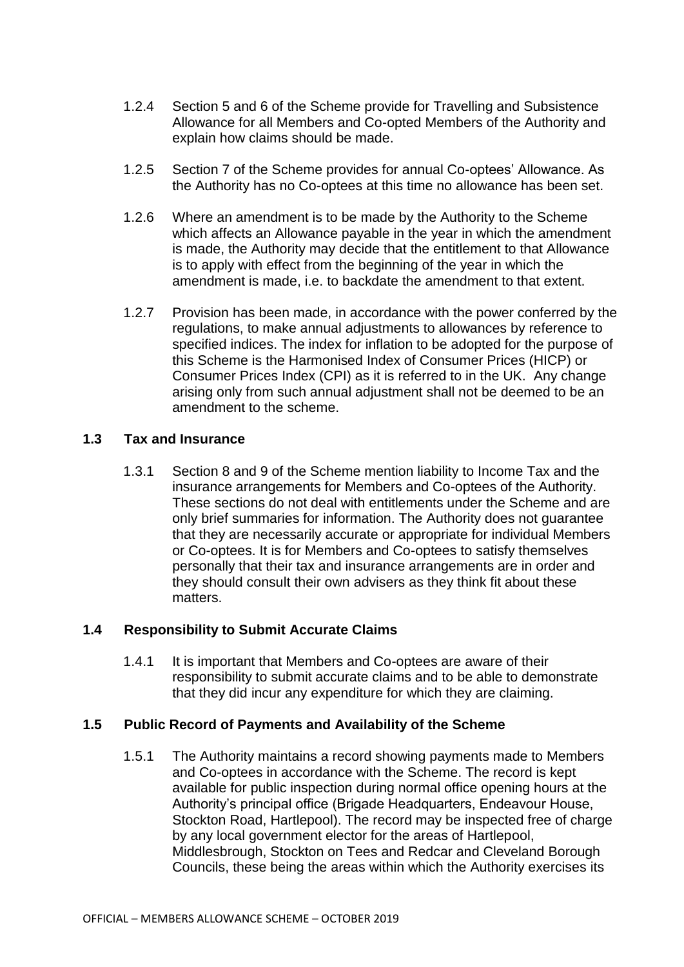- 1.2.4 Section 5 and 6 of the Scheme provide for Travelling and Subsistence Allowance for all Members and Co-opted Members of the Authority and explain how claims should be made.
- 1.2.5 Section 7 of the Scheme provides for annual Co-optees' Allowance. As the Authority has no Co-optees at this time no allowance has been set.
- 1.2.6 Where an amendment is to be made by the Authority to the Scheme which affects an Allowance payable in the year in which the amendment is made, the Authority may decide that the entitlement to that Allowance is to apply with effect from the beginning of the year in which the amendment is made, i.e. to backdate the amendment to that extent.
- 1.2.7 Provision has been made, in accordance with the power conferred by the regulations, to make annual adjustments to allowances by reference to specified indices. The index for inflation to be adopted for the purpose of this Scheme is the Harmonised Index of Consumer Prices (HICP) or Consumer Prices Index (CPI) as it is referred to in the UK. Any change arising only from such annual adjustment shall not be deemed to be an amendment to the scheme.

#### **1.3 Tax and Insurance**

1.3.1 Section 8 and 9 of the Scheme mention liability to Income Tax and the insurance arrangements for Members and Co-optees of the Authority. These sections do not deal with entitlements under the Scheme and are only brief summaries for information. The Authority does not guarantee that they are necessarily accurate or appropriate for individual Members or Co-optees. It is for Members and Co-optees to satisfy themselves personally that their tax and insurance arrangements are in order and they should consult their own advisers as they think fit about these matters.

#### **1.4 Responsibility to Submit Accurate Claims**

1.4.1 It is important that Members and Co-optees are aware of their responsibility to submit accurate claims and to be able to demonstrate that they did incur any expenditure for which they are claiming.

#### **1.5 Public Record of Payments and Availability of the Scheme**

1.5.1 The Authority maintains a record showing payments made to Members and Co-optees in accordance with the Scheme. The record is kept available for public inspection during normal office opening hours at the Authority's principal office (Brigade Headquarters, Endeavour House, Stockton Road, Hartlepool). The record may be inspected free of charge by any local government elector for the areas of Hartlepool, Middlesbrough, Stockton on Tees and Redcar and Cleveland Borough Councils, these being the areas within which the Authority exercises its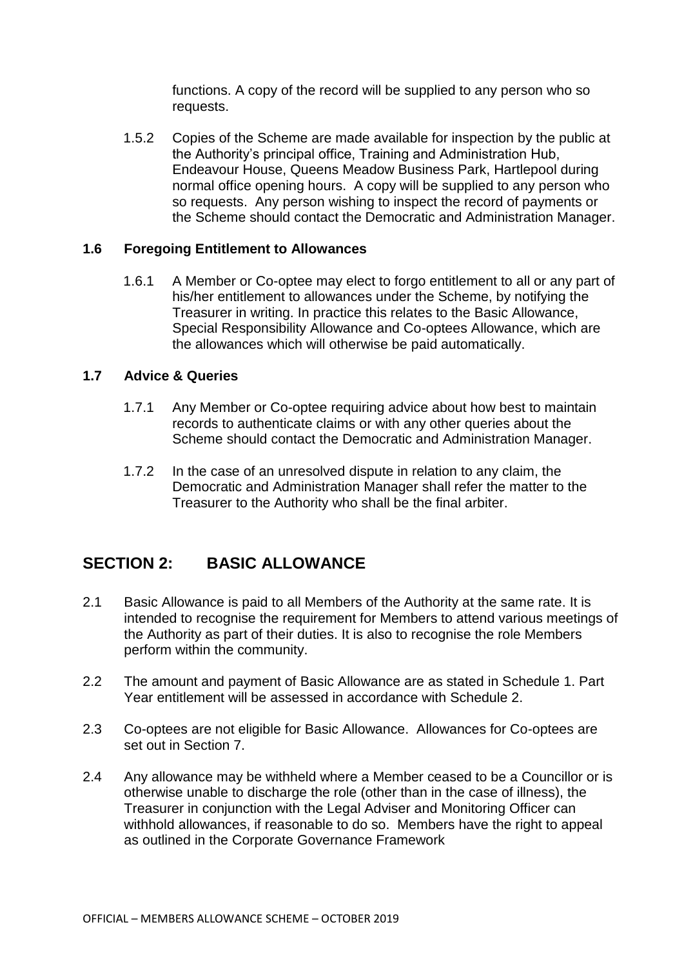functions. A copy of the record will be supplied to any person who so requests.

1.5.2 Copies of the Scheme are made available for inspection by the public at the Authority's principal office, Training and Administration Hub, Endeavour House, Queens Meadow Business Park, Hartlepool during normal office opening hours. A copy will be supplied to any person who so requests. Any person wishing to inspect the record of payments or the Scheme should contact the Democratic and Administration Manager.

#### **1.6 Foregoing Entitlement to Allowances**

1.6.1 A Member or Co-optee may elect to forgo entitlement to all or any part of his/her entitlement to allowances under the Scheme, by notifying the Treasurer in writing. In practice this relates to the Basic Allowance, Special Responsibility Allowance and Co-optees Allowance, which are the allowances which will otherwise be paid automatically.

#### **1.7 Advice & Queries**

- 1.7.1 Any Member or Co-optee requiring advice about how best to maintain records to authenticate claims or with any other queries about the Scheme should contact the Democratic and Administration Manager.
- 1.7.2 In the case of an unresolved dispute in relation to any claim, the Democratic and Administration Manager shall refer the matter to the Treasurer to the Authority who shall be the final arbiter.

# **SECTION 2: BASIC ALLOWANCE**

- 2.1 Basic Allowance is paid to all Members of the Authority at the same rate. It is intended to recognise the requirement for Members to attend various meetings of the Authority as part of their duties. It is also to recognise the role Members perform within the community.
- 2.2 The amount and payment of Basic Allowance are as stated in Schedule 1. Part Year entitlement will be assessed in accordance with Schedule 2.
- 2.3 Co-optees are not eligible for Basic Allowance. Allowances for Co-optees are set out in Section 7.
- 2.4 Any allowance may be withheld where a Member ceased to be a Councillor or is otherwise unable to discharge the role (other than in the case of illness), the Treasurer in conjunction with the Legal Adviser and Monitoring Officer can withhold allowances, if reasonable to do so. Members have the right to appeal as outlined in the Corporate Governance Framework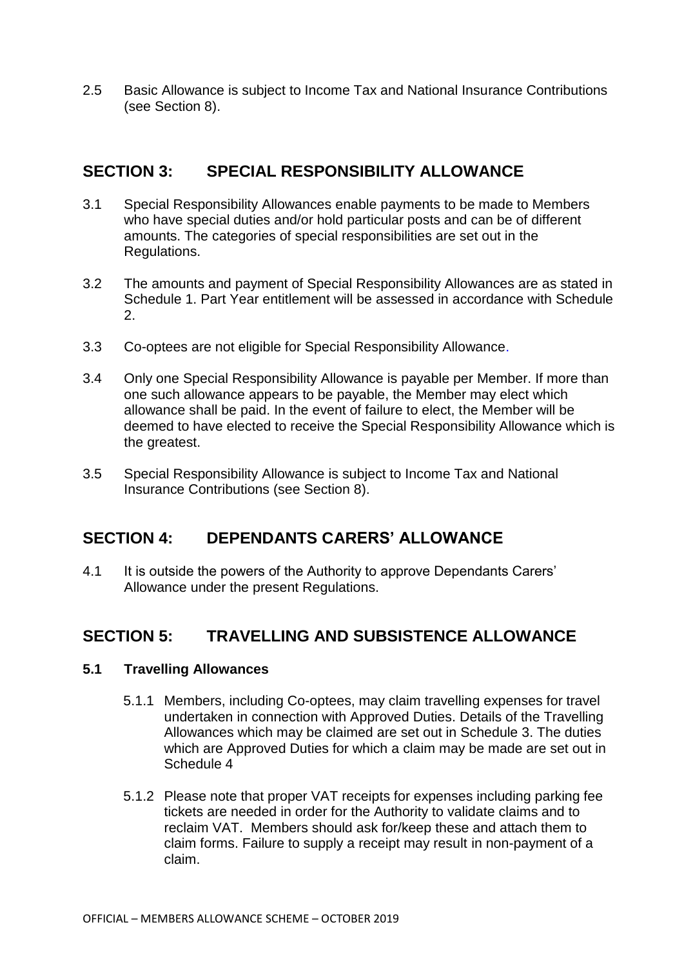2.5 Basic Allowance is subject to Income Tax and National Insurance Contributions (see Section 8).

## **SECTION 3: SPECIAL RESPONSIBILITY ALLOWANCE**

- 3.1 Special Responsibility Allowances enable payments to be made to Members who have special duties and/or hold particular posts and can be of different amounts. The categories of special responsibilities are set out in the Regulations.
- 3.2 The amounts and payment of Special Responsibility Allowances are as stated in Schedule 1. Part Year entitlement will be assessed in accordance with Schedule 2.
- 3.3 Co-optees are not eligible for Special Responsibility Allowance.
- 3.4 Only one Special Responsibility Allowance is payable per Member. If more than one such allowance appears to be payable, the Member may elect which allowance shall be paid. In the event of failure to elect, the Member will be deemed to have elected to receive the Special Responsibility Allowance which is the greatest.
- 3.5 Special Responsibility Allowance is subject to Income Tax and National Insurance Contributions (see Section 8).

## **SECTION 4: DEPENDANTS CARERS' ALLOWANCE**

4.1 It is outside the powers of the Authority to approve Dependants Carers' Allowance under the present Regulations.

# **SECTION 5: TRAVELLING AND SUBSISTENCE ALLOWANCE**

#### **5.1 Travelling Allowances**

- 5.1.1 Members, including Co-optees, may claim travelling expenses for travel undertaken in connection with Approved Duties. Details of the Travelling Allowances which may be claimed are set out in Schedule 3. The duties which are Approved Duties for which a claim may be made are set out in Schedule 4
- 5.1.2 Please note that proper VAT receipts for expenses including parking fee tickets are needed in order for the Authority to validate claims and to reclaim VAT. Members should ask for/keep these and attach them to claim forms. Failure to supply a receipt may result in non-payment of a claim.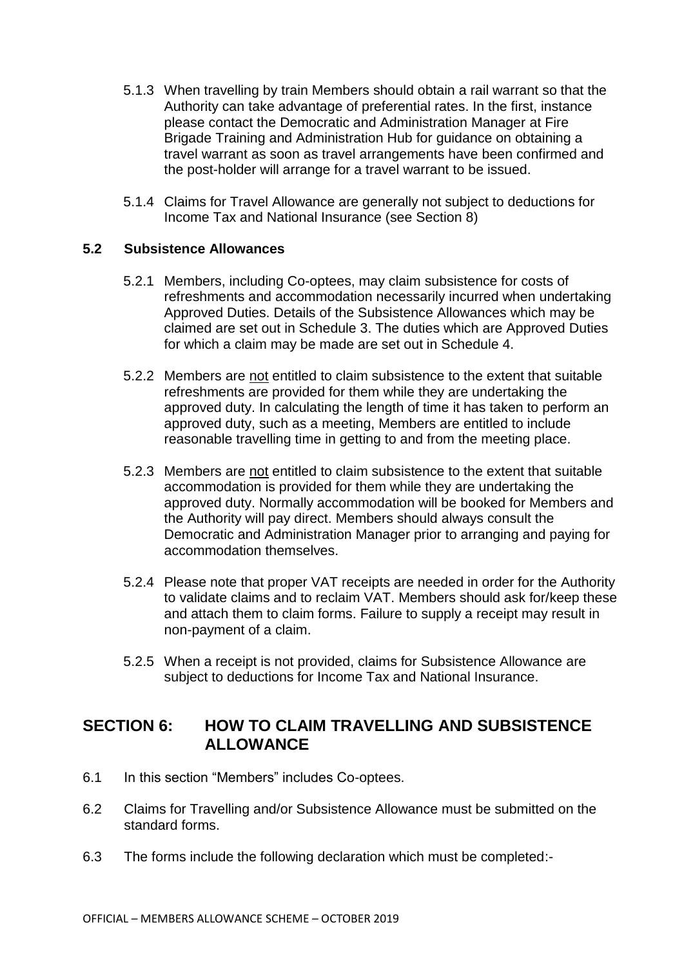- 5.1.3 When travelling by train Members should obtain a rail warrant so that the Authority can take advantage of preferential rates. In the first, instance please contact the Democratic and Administration Manager at Fire Brigade Training and Administration Hub for guidance on obtaining a travel warrant as soon as travel arrangements have been confirmed and the post-holder will arrange for a travel warrant to be issued.
- 5.1.4 Claims for Travel Allowance are generally not subject to deductions for Income Tax and National Insurance (see Section 8)

## **5.2 Subsistence Allowances**

- 5.2.1 Members, including Co-optees, may claim subsistence for costs of refreshments and accommodation necessarily incurred when undertaking Approved Duties. Details of the Subsistence Allowances which may be claimed are set out in Schedule 3. The duties which are Approved Duties for which a claim may be made are set out in Schedule 4.
- 5.2.2 Members are not entitled to claim subsistence to the extent that suitable refreshments are provided for them while they are undertaking the approved duty. In calculating the length of time it has taken to perform an approved duty, such as a meeting, Members are entitled to include reasonable travelling time in getting to and from the meeting place.
- 5.2.3 Members are not entitled to claim subsistence to the extent that suitable accommodation is provided for them while they are undertaking the approved duty. Normally accommodation will be booked for Members and the Authority will pay direct. Members should always consult the Democratic and Administration Manager prior to arranging and paying for accommodation themselves.
- 5.2.4 Please note that proper VAT receipts are needed in order for the Authority to validate claims and to reclaim VAT. Members should ask for/keep these and attach them to claim forms. Failure to supply a receipt may result in non-payment of a claim.
- 5.2.5 When a receipt is not provided, claims for Subsistence Allowance are subject to deductions for Income Tax and National Insurance.

## **SECTION 6: HOW TO CLAIM TRAVELLING AND SUBSISTENCE ALLOWANCE**

- 6.1 In this section "Members" includes Co-optees.
- 6.2 Claims for Travelling and/or Subsistence Allowance must be submitted on the standard forms.
- 6.3 The forms include the following declaration which must be completed:-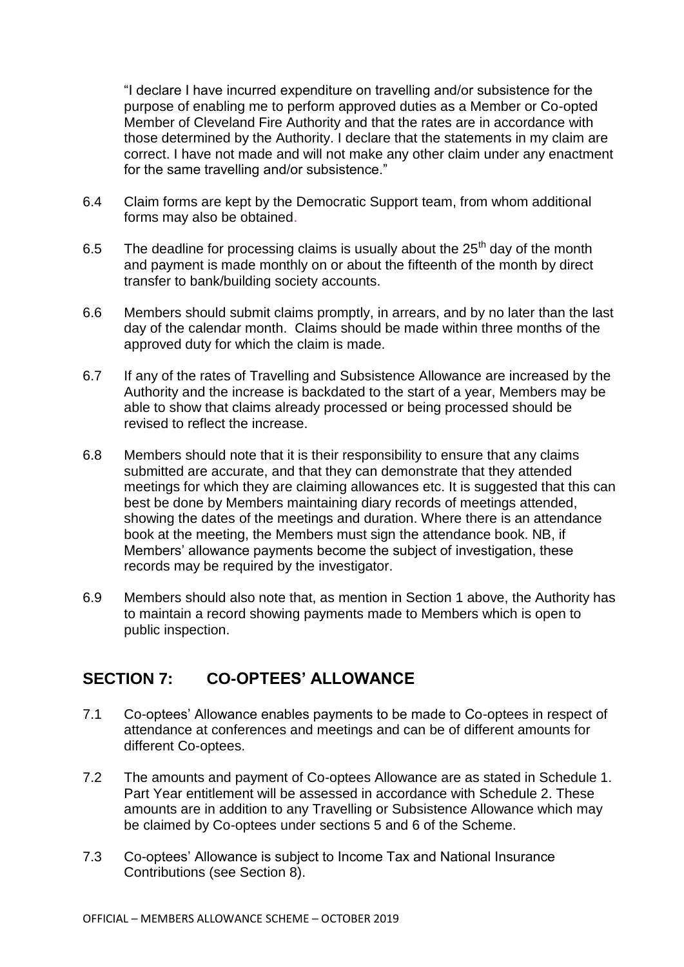"I declare I have incurred expenditure on travelling and/or subsistence for the purpose of enabling me to perform approved duties as a Member or Co-opted Member of Cleveland Fire Authority and that the rates are in accordance with those determined by the Authority. I declare that the statements in my claim are correct. I have not made and will not make any other claim under any enactment for the same travelling and/or subsistence."

- 6.4 Claim forms are kept by the Democratic Support team, from whom additional forms may also be obtained.
- 6.5 The deadline for processing claims is usually about the  $25<sup>th</sup>$  day of the month and payment is made monthly on or about the fifteenth of the month by direct transfer to bank/building society accounts.
- 6.6 Members should submit claims promptly, in arrears, and by no later than the last day of the calendar month. Claims should be made within three months of the approved duty for which the claim is made.
- 6.7 If any of the rates of Travelling and Subsistence Allowance are increased by the Authority and the increase is backdated to the start of a year, Members may be able to show that claims already processed or being processed should be revised to reflect the increase.
- 6.8 Members should note that it is their responsibility to ensure that any claims submitted are accurate, and that they can demonstrate that they attended meetings for which they are claiming allowances etc. It is suggested that this can best be done by Members maintaining diary records of meetings attended, showing the dates of the meetings and duration. Where there is an attendance book at the meeting, the Members must sign the attendance book. NB, if Members' allowance payments become the subject of investigation, these records may be required by the investigator.
- 6.9 Members should also note that, as mention in Section 1 above, the Authority has to maintain a record showing payments made to Members which is open to public inspection.

# **SECTION 7: CO-OPTEES' ALLOWANCE**

- 7.1 Co-optees' Allowance enables payments to be made to Co-optees in respect of attendance at conferences and meetings and can be of different amounts for different Co-optees.
- 7.2 The amounts and payment of Co-optees Allowance are as stated in Schedule 1. Part Year entitlement will be assessed in accordance with Schedule 2. These amounts are in addition to any Travelling or Subsistence Allowance which may be claimed by Co-optees under sections 5 and 6 of the Scheme.
- 7.3 Co-optees' Allowance is subject to Income Tax and National Insurance Contributions (see Section 8).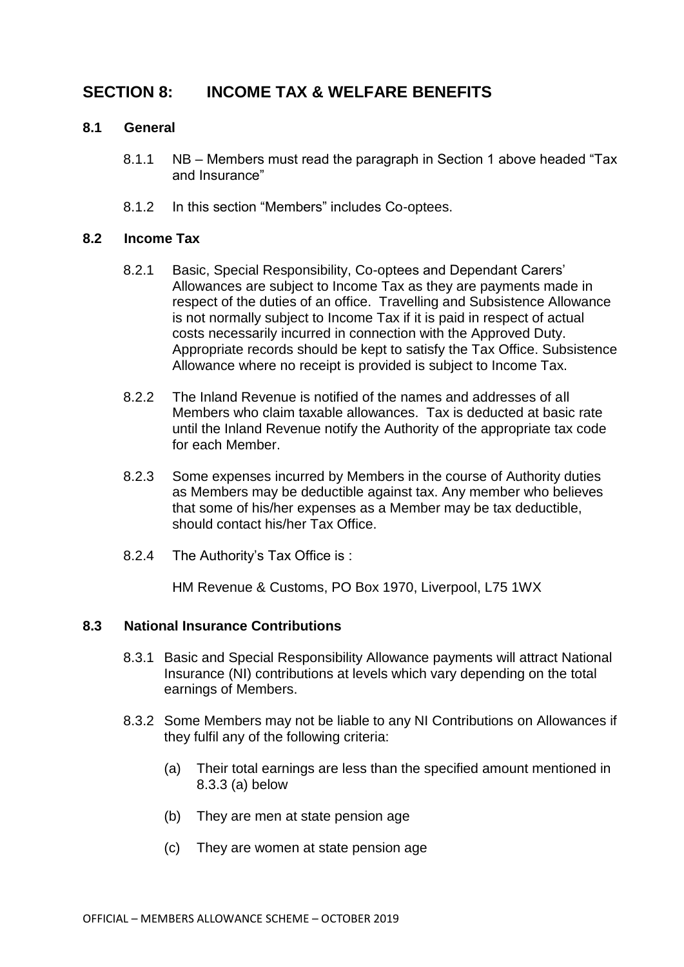## **SECTION 8: INCOME TAX & WELFARE BENEFITS**

#### **8.1 General**

- 8.1.1 NB Members must read the paragraph in Section 1 above headed "Tax and Insurance"
- 8.1.2 In this section "Members" includes Co-optees.

#### **8.2 Income Tax**

- 8.2.1 Basic, Special Responsibility, Co-optees and Dependant Carers' Allowances are subject to Income Tax as they are payments made in respect of the duties of an office. Travelling and Subsistence Allowance is not normally subject to Income Tax if it is paid in respect of actual costs necessarily incurred in connection with the Approved Duty. Appropriate records should be kept to satisfy the Tax Office. Subsistence Allowance where no receipt is provided is subject to Income Tax.
- 8.2.2 The Inland Revenue is notified of the names and addresses of all Members who claim taxable allowances. Tax is deducted at basic rate until the Inland Revenue notify the Authority of the appropriate tax code for each Member.
- 8.2.3 Some expenses incurred by Members in the course of Authority duties as Members may be deductible against tax. Any member who believes that some of his/her expenses as a Member may be tax deductible, should contact his/her Tax Office.
- 8.2.4 The Authority's Tax Office is :

HM Revenue & Customs, PO Box 1970, Liverpool, L75 1WX

## **8.3 National Insurance Contributions**

- 8.3.1 Basic and Special Responsibility Allowance payments will attract National Insurance (NI) contributions at levels which vary depending on the total earnings of Members.
- 8.3.2 Some Members may not be liable to any NI Contributions on Allowances if they fulfil any of the following criteria:
	- (a) Their total earnings are less than the specified amount mentioned in 8.3.3 (a) below
	- (b) They are men at state pension age
	- (c) They are women at state pension age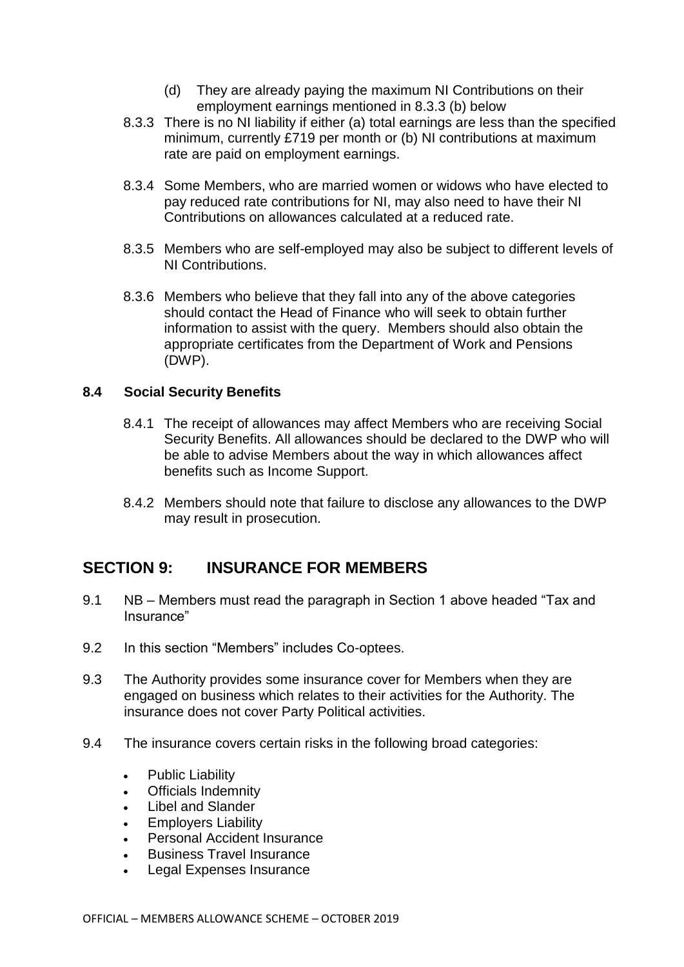- (d) They are already paying the maximum NI Contributions on their employment earnings mentioned in 8.3.3 (b) below
- 8.3.3 There is no NI liability if either (a) total earnings are less than the specified minimum, currently £719 per month or (b) NI contributions at maximum rate are paid on employment earnings.
- 8.3.4 Some Members, who are married women or widows who have elected to pay reduced rate contributions for NI, may also need to have their NI Contributions on allowances calculated at a reduced rate.
- 8.3.5 Members who are self-employed may also be subject to different levels of NI Contributions.
- 8.3.6 Members who believe that they fall into any of the above categories should contact the Head of Finance who will seek to obtain further information to assist with the query. Members should also obtain the appropriate certificates from the Department of Work and Pensions (DWP).

## **8.4 Social Security Benefits**

- 8.4.1 The receipt of allowances may affect Members who are receiving Social Security Benefits. All allowances should be declared to the DWP who will be able to advise Members about the way in which allowances affect benefits such as Income Support.
- 8.4.2 Members should note that failure to disclose any allowances to the DWP may result in prosecution.

## **SECTION 9: INSURANCE FOR MEMBERS**

- 9.1 NB Members must read the paragraph in Section 1 above headed "Tax and Insurance"
- 9.2 In this section "Members" includes Co-optees.
- 9.3 The Authority provides some insurance cover for Members when they are engaged on business which relates to their activities for the Authority. The insurance does not cover Party Political activities.
- 9.4 The insurance covers certain risks in the following broad categories:
	- Public Liability
	- Officials Indemnity
	- Libel and Slander
	- Employers Liability
	- Personal Accident Insurance
	- Business Travel Insurance
	- Legal Expenses Insurance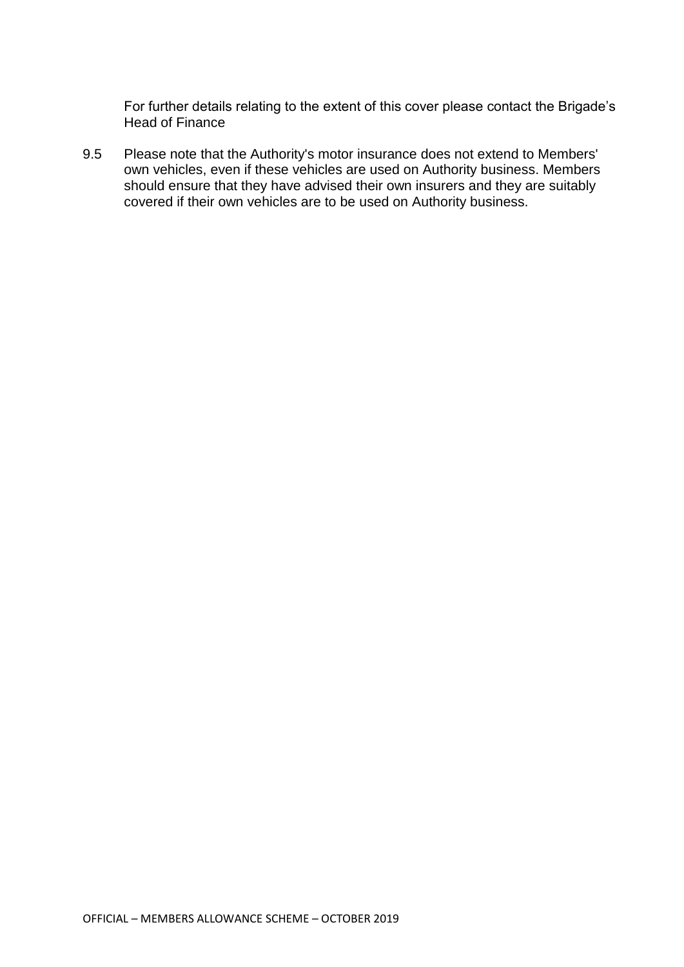For further details relating to the extent of this cover please contact the Brigade's Head of Finance

9.5 Please note that the Authority's motor insurance does not extend to Members' own vehicles, even if these vehicles are used on Authority business. Members should ensure that they have advised their own insurers and they are suitably covered if their own vehicles are to be used on Authority business.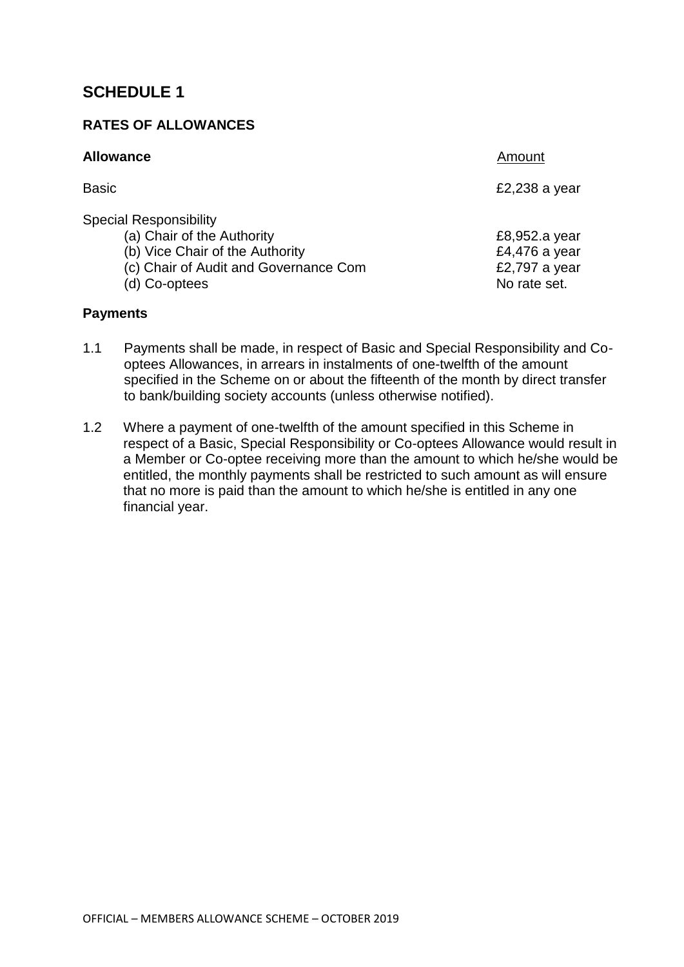## **RATES OF ALLOWANCES**

| <b>Allowance</b>                                                                                                                                         | Amount                                                          |
|----------------------------------------------------------------------------------------------------------------------------------------------------------|-----------------------------------------------------------------|
| Basic                                                                                                                                                    | £2,238 a year                                                   |
| <b>Special Responsibility</b><br>(a) Chair of the Authority<br>(b) Vice Chair of the Authority<br>(c) Chair of Audit and Governance Com<br>(d) Co-optees | £8,952.a year<br>£4,476 a year<br>£2,797 a year<br>No rate set. |

#### **Payments**

- 1.1 Payments shall be made, in respect of Basic and Special Responsibility and Cooptees Allowances, in arrears in instalments of one-twelfth of the amount specified in the Scheme on or about the fifteenth of the month by direct transfer to bank/building society accounts (unless otherwise notified).
- 1.2 Where a payment of one-twelfth of the amount specified in this Scheme in respect of a Basic, Special Responsibility or Co-optees Allowance would result in a Member or Co-optee receiving more than the amount to which he/she would be entitled, the monthly payments shall be restricted to such amount as will ensure that no more is paid than the amount to which he/she is entitled in any one financial year.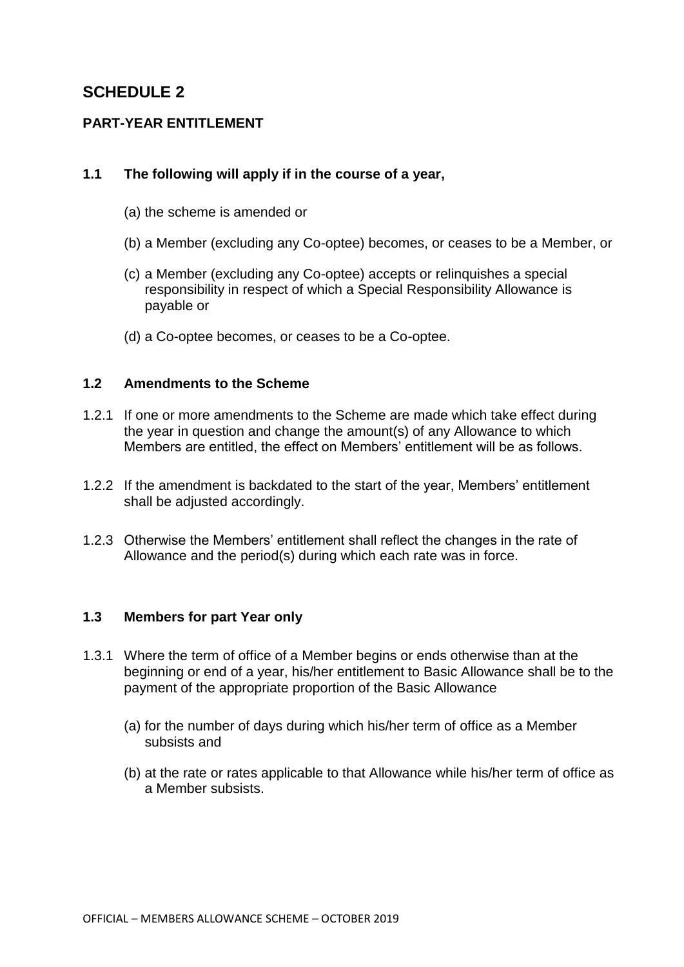## **PART-YEAR ENTITLEMENT**

### **1.1 The following will apply if in the course of a year,**

- (a) the scheme is amended or
- (b) a Member (excluding any Co-optee) becomes, or ceases to be a Member, or
- (c) a Member (excluding any Co-optee) accepts or relinquishes a special responsibility in respect of which a Special Responsibility Allowance is payable or
- (d) a Co-optee becomes, or ceases to be a Co-optee.

### **1.2 Amendments to the Scheme**

- 1.2.1 If one or more amendments to the Scheme are made which take effect during the year in question and change the amount(s) of any Allowance to which Members are entitled, the effect on Members' entitlement will be as follows.
- 1.2.2 If the amendment is backdated to the start of the year, Members' entitlement shall be adjusted accordingly.
- 1.2.3 Otherwise the Members' entitlement shall reflect the changes in the rate of Allowance and the period(s) during which each rate was in force.

#### **1.3 Members for part Year only**

- 1.3.1 Where the term of office of a Member begins or ends otherwise than at the beginning or end of a year, his/her entitlement to Basic Allowance shall be to the payment of the appropriate proportion of the Basic Allowance
	- (a) for the number of days during which his/her term of office as a Member subsists and
	- (b) at the rate or rates applicable to that Allowance while his/her term of office as a Member subsists.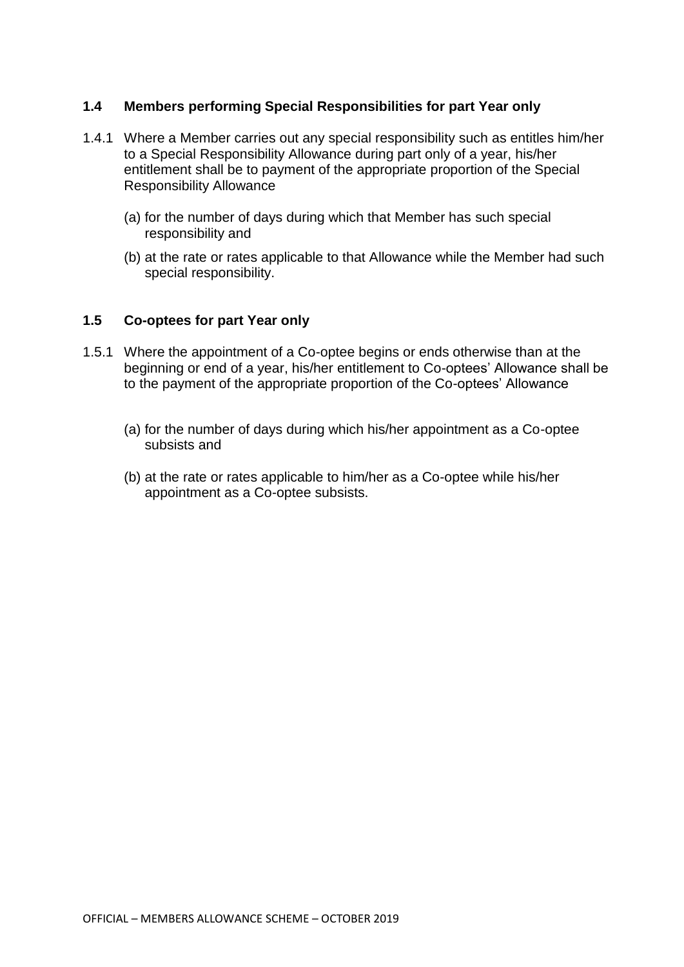### **1.4 Members performing Special Responsibilities for part Year only**

- 1.4.1 Where a Member carries out any special responsibility such as entitles him/her to a Special Responsibility Allowance during part only of a year, his/her entitlement shall be to payment of the appropriate proportion of the Special Responsibility Allowance
	- (a) for the number of days during which that Member has such special responsibility and
	- (b) at the rate or rates applicable to that Allowance while the Member had such special responsibility.

## **1.5 Co-optees for part Year only**

- 1.5.1 Where the appointment of a Co-optee begins or ends otherwise than at the beginning or end of a year, his/her entitlement to Co-optees' Allowance shall be to the payment of the appropriate proportion of the Co-optees' Allowance
	- (a) for the number of days during which his/her appointment as a Co-optee subsists and
	- (b) at the rate or rates applicable to him/her as a Co-optee while his/her appointment as a Co-optee subsists.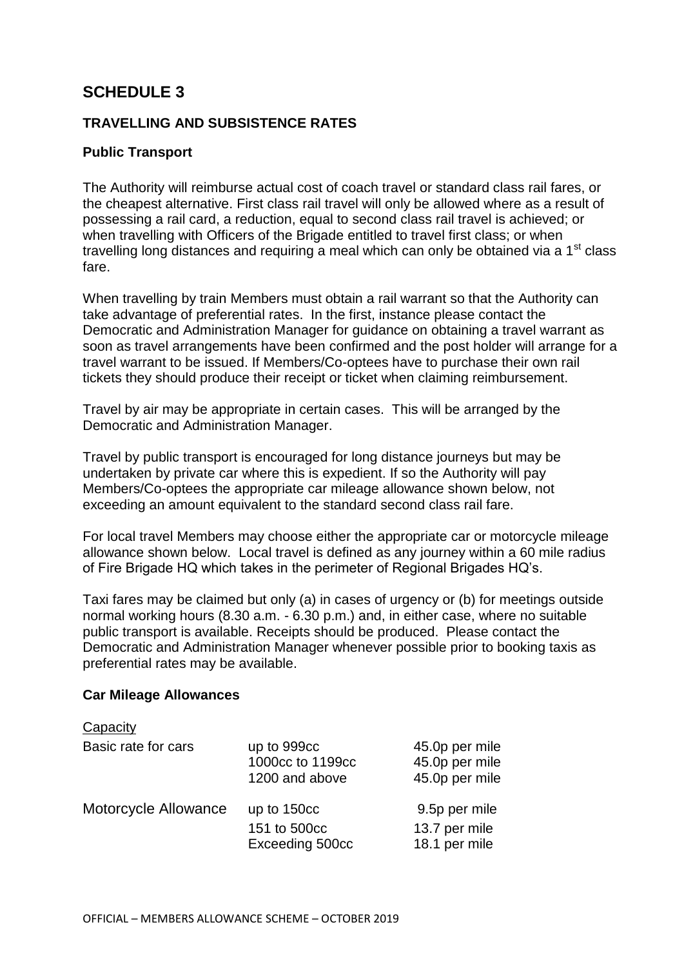## **TRAVELLING AND SUBSISTENCE RATES**

## **Public Transport**

The Authority will reimburse actual cost of coach travel or standard class rail fares, or the cheapest alternative. First class rail travel will only be allowed where as a result of possessing a rail card, a reduction, equal to second class rail travel is achieved; or when travelling with Officers of the Brigade entitled to travel first class; or when travelling long distances and requiring a meal which can only be obtained via a  $1<sup>st</sup>$  class fare.

When travelling by train Members must obtain a rail warrant so that the Authority can take advantage of preferential rates. In the first, instance please contact the Democratic and Administration Manager for guidance on obtaining a travel warrant as soon as travel arrangements have been confirmed and the post holder will arrange for a travel warrant to be issued. If Members/Co-optees have to purchase their own rail tickets they should produce their receipt or ticket when claiming reimbursement.

Travel by air may be appropriate in certain cases. This will be arranged by the Democratic and Administration Manager.

Travel by public transport is encouraged for long distance journeys but may be undertaken by private car where this is expedient. If so the Authority will pay Members/Co-optees the appropriate car mileage allowance shown below, not exceeding an amount equivalent to the standard second class rail fare.

For local travel Members may choose either the appropriate car or motorcycle mileage allowance shown below. Local travel is defined as any journey within a 60 mile radius of Fire Brigade HQ which takes in the perimeter of Regional Brigades HQ's.

Taxi fares may be claimed but only (a) in cases of urgency or (b) for meetings outside normal working hours (8.30 a.m. - 6.30 p.m.) and, in either case, where no suitable public transport is available. Receipts should be produced. Please contact the Democratic and Administration Manager whenever possible prior to booking taxis as preferential rates may be available.

#### **Car Mileage Allowances**

 $\sim$  Capacity  $\sim$ 

| Capacity             |                                                   |                                                    |
|----------------------|---------------------------------------------------|----------------------------------------------------|
| Basic rate for cars  | up to 999cc<br>1000cc to 1199cc<br>1200 and above | 45.0p per mile<br>45.0p per mile<br>45.0p per mile |
| Motorcycle Allowance | up to 150cc<br>151 to 500cc<br>Exceeding 500cc    | 9.5p per mile<br>13.7 per mile<br>18.1 per mile    |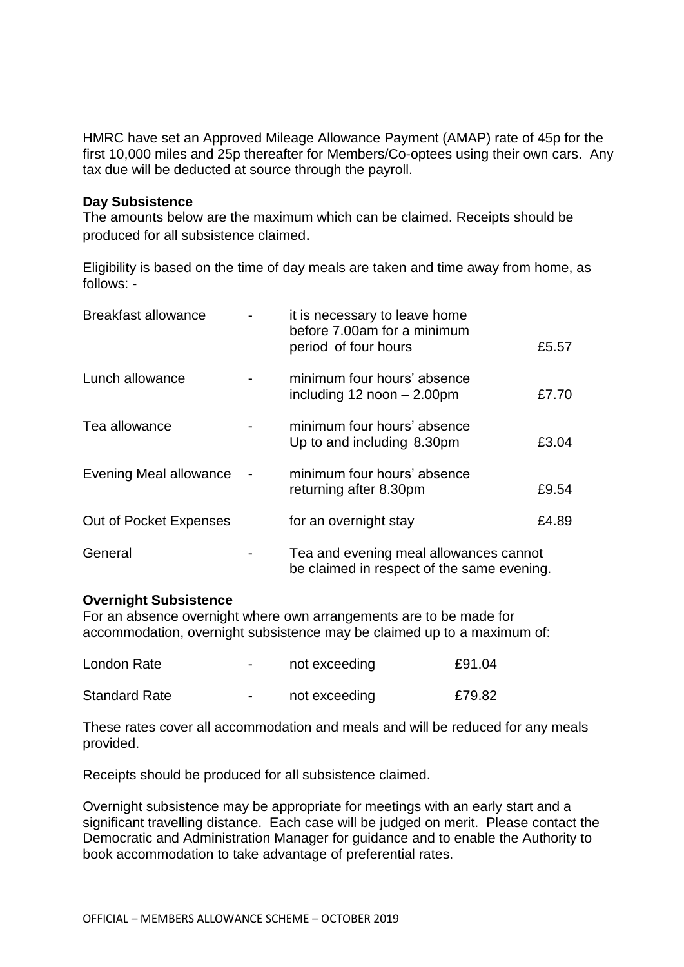HMRC have set an Approved Mileage Allowance Payment (AMAP) rate of 45p for the first 10,000 miles and 25p thereafter for Members/Co-optees using their own cars. Any tax due will be deducted at source through the payroll.

#### **Day Subsistence**

The amounts below are the maximum which can be claimed. Receipts should be produced for all subsistence claimed.

Eligibility is based on the time of day meals are taken and time away from home, as follows: -

| <b>Breakfast allowance</b> | it is necessary to leave home<br>before 7.00am for a minimum<br>period of four hours | £5.57 |
|----------------------------|--------------------------------------------------------------------------------------|-------|
| Lunch allowance            | minimum four hours' absence<br>including $12$ noon $- 2.00$ pm                       | £7.70 |
| Tea allowance              | minimum four hours' absence<br>Up to and including 8.30pm                            | £3.04 |
| Evening Meal allowance     | minimum four hours' absence<br>returning after 8.30pm                                | £9.54 |
| Out of Pocket Expenses     | for an overnight stay                                                                | £4.89 |
| General                    | Tea and evening meal allowances cannot<br>be claimed in respect of the same evening. |       |

#### **Overnight Subsistence**

For an absence overnight where own arrangements are to be made for accommodation, overnight subsistence may be claimed up to a maximum of:

| London Rate          | $\overline{\phantom{a}}$ | not exceeding | £91.04 |
|----------------------|--------------------------|---------------|--------|
| <b>Standard Rate</b> | $\blacksquare$           | not exceeding | £79.82 |

These rates cover all accommodation and meals and will be reduced for any meals provided.

Receipts should be produced for all subsistence claimed.

Overnight subsistence may be appropriate for meetings with an early start and a significant travelling distance. Each case will be judged on merit. Please contact the Democratic and Administration Manager for guidance and to enable the Authority to book accommodation to take advantage of preferential rates.